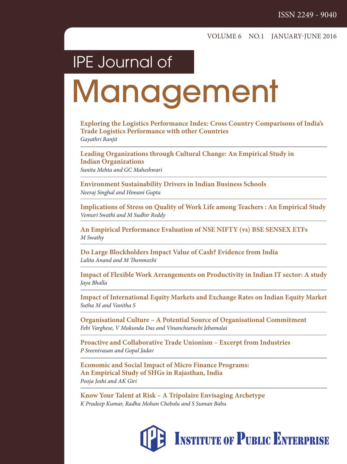### IPE Journal of

# **Management**

**Exploring the Logistics Performance Index: Cross Country Comparisons of India's Trade Logistics Performance with other Countries** Gayathri Ranjit

**Leading Organizations through Cultural Change: An Empirical Study in Indian Organizations** Sunita Mehta and GC Maheshwari

**Environment Sustainability Drivers in Indian Business Schools** Neeraj Singhal and Himani Gupta

**Implications of Stress on Quality of Work Life among Teachers : An Empirical Study** Vemuri Swathi and M Sudhir Reddy

**An Empirical Performance Evaluation of NSE NIFTY (vs) BSE SENSEX ETFs** M Swathy

**Do Large Blockholders Impact Value of Cash? Evidence from India** Lalita Anand and M Thenmozhi

**Impact of Flexible Work Arrangements on Productivity in Indian IT sector: A study** Jaya Bhalla

**Impact of International Equity Markets and Exchange Rates on Indian Equity Market** Sutha M and Vanitha S

**Organisational Culture – A Potential Source of Organisational Commitment** Febi Varghese, V Mukunda Das and Vinanchiarachi Jebamalai

**Proactive and Collaborative Trade Unionism – Excerpt from Industries** P Sreenivasan and Gopal Jadav

**Economic and Social Impact of Micro Finance Programs: An Empirical Study of SHGs in Rajasthan, India** Pooja Joshi and AK Giri

**Know Your Talent at Risk – A Tripolaire Envisaging Archetype**  K Pradeep Kumar, Radha Mohan Chebolu and S Suman Babu

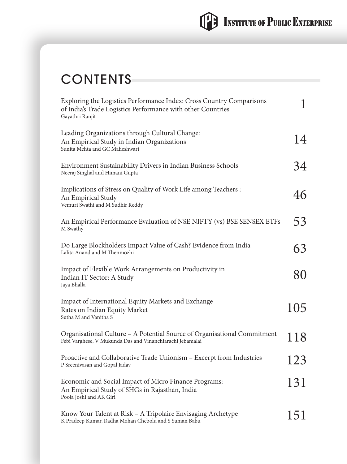### **CONTENTS**

| Exploring the Logistics Performance Index: Cross Country Comparisons<br>of India's Trade Logistics Performance with other Countries<br>Gayathri Ranjit | 1   |
|--------------------------------------------------------------------------------------------------------------------------------------------------------|-----|
| Leading Organizations through Cultural Change:<br>An Empirical Study in Indian Organizations<br>Sunita Mehta and GC Maheshwari                         | 14  |
| Environment Sustainability Drivers in Indian Business Schools<br>Neeraj Singhal and Himani Gupta                                                       | 34  |
| Implications of Stress on Quality of Work Life among Teachers :<br>An Empirical Study<br>Vemuri Swathi and M Sudhir Reddy                              | 46  |
| An Empirical Performance Evaluation of NSE NIFTY (vs) BSE SENSEX ETFs<br>M Swathy                                                                      | 53  |
| Do Large Blockholders Impact Value of Cash? Evidence from India<br>Lalita Anand and M Thenmozhi                                                        | 63  |
| Impact of Flexible Work Arrangements on Productivity in<br>Indian IT Sector: A Study<br>Jaya Bhalla                                                    | 80  |
| Impact of International Equity Markets and Exchange<br>Rates on Indian Equity Market<br>Sutha M and Vanitha S                                          | 105 |
| Organisational Culture - A Potential Source of Organisational Commitment<br>Febi Varghese, V Mukunda Das and Vinanchiarachi Jebamalai                  | 118 |
| Proactive and Collaborative Trade Unionism - Excerpt from Industries<br>P Sreenivasan and Gopal Jadav                                                  | 123 |
| Economic and Social Impact of Micro Finance Programs:<br>An Empirical Study of SHGs in Rajasthan, India<br>Pooja Joshi and AK Giri                     | 131 |
| Know Your Talent at Risk – A Tripolaire Envisaging Archetype<br>K Pradeep Kumar, Radha Mohan Chebolu and S Suman Babu                                  | 151 |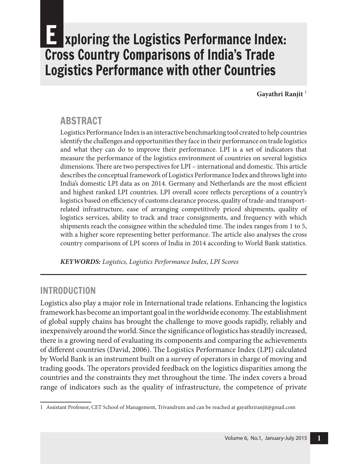### **EXploring the Logistics Performance Index:** Cross Country Comparisons of India's Trade Logistics Performance with other Countries

**Gayathri Ranjit** <sup>1</sup>

#### **ABSTRACT**

Logistics Performance Index is an interactive benchmarking tool created to help countries identify the challenges and opportunities they face in their performance on trade logistics and what they can do to improve their performance. LPI is a set of indicators that measure the performance of the logistics environment of countries on several logistics dimensions. There are two perspectives for LPI – international and domestic. This article describes the conceptual framework of Logistics Performance Index and throws light into India's domestic LPI data as on 2014. Germany and Netherlands are the most efficient and highest ranked LPI countries. LPI overall score reflects perceptions of a country's logistics based on efficiency of customs clearance process, quality of trade-and transportrelated infrastructure, ease of arranging competitively priced shipments, quality of logistics services, ability to track and trace consignments, and frequency with which shipments reach the consignee within the scheduled time. The index ranges from 1 to 5, with a higher score representing better performance. The article also analyses the cross country comparisons of LPI scores of India in 2014 according to World Bank statistics.

**KEYWORDS:** Logistics, Logistics Performance Index, LPI Scores

#### INTrODUCTION

Logistics also play a major role in International trade relations. Enhancing the logistics framework has become an important goal in the worldwide economy. The establishment of global supply chains has brought the challenge to move goods rapidly, reliably and inexpensively around the world. Since the significance of logistics has steadily increased, there is a growing need of evaluating its components and comparing the achievements of different countries (David, 2006). The Logistics Performance Index (LPI) calculated by World Bank is an instrument built on a survey of operators in charge of moving and trading goods. The operators provided feedback on the logistics disparities among the countries and the constraints they met throughout the time. The index covers a broad range of indicators such as the quality of infrastructure, the competence of private

<sup>1</sup> Assistant Professor, CET School of Management, Trivandrum and can be reached at gayathriranjit@gmail.com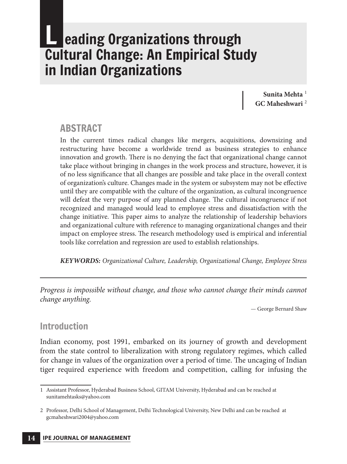### **L** eading Organizations through Cultural Change: An Empirical study in Indian Organizations

**Sunita Mehta** <sup>1</sup> **GC Maheshwari** <sup>2</sup>

#### **ABSTRACT**

In the current times radical changes like mergers, acquisitions, downsizing and restructuring have become a worldwide trend as business strategies to enhance innovation and growth. There is no denying the fact that organizational change cannot take place without bringing in changes in the work process and structure, however, it is of no less significance that all changes are possible and take place in the overall context of organization's culture. Changes made in the system or subsystem may not be effective until they are compatible with the culture of the organization, as cultural incongruence will defeat the very purpose of any planned change. The cultural incongruence if not recognized and managed would lead to employee stress and dissatisfaction with the change initiative. This paper aims to analyze the relationship of leadership behaviors and organizational culture with reference to managing organizational changes and their impact on employee stress. The research methodology used is empirical and inferential tools like correlation and regression are used to establish relationships.

**KEYWORDS:** Organizational Culture, Leadership, Organizational Change, Employee Stress

Progress is impossible without change, and those who cannot change their minds cannot change anything.

— George Bernard Shaw

#### Introduction

Indian economy, post 1991, embarked on its journey of growth and development from the state control to liberalization with strong regulatory regimes, which called for change in values of the organization over a period of time. The uncaging of Indian tiger required experience with freedom and competition, calling for infusing the

<sup>1</sup> Assistant Professor, Hyderabad Business School, GITAM University, Hyderabad and can be reached at sunitamehtasks@yahoo.com

<sup>2</sup> Professor, Delhi School of Management, Delhi Technological University, New Delhi and can be reached at gcmaheshwari2004@yahoo.com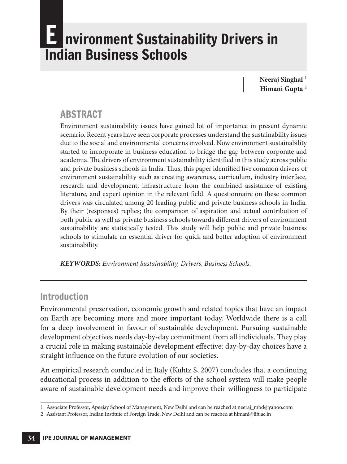# **Exercices 1 and 1 arms in Arivers** in Indian business schools

Neeraj Singhal<sup>1</sup> **Himani Gupta** <sup>2</sup>

#### **ABSTRACT**

Environment sustainability issues have gained lot of importance in present dynamic scenario. Recent years have seen corporate processes understand the sustainability issues due to the social and environmental concerns involved. Now environment sustainability started to incorporate in business education to bridge the gap between corporate and academia. The drivers of environment sustainability identified in this study across public and private business schools in India. Thus, this paper identified five common drivers of environment sustainability such as creating awareness, curriculum, industry interface, research and development, infrastructure from the combined assistance of existing literature, and expert opinion in the relevant field. A questionnaire on these common drivers was circulated among 20 leading public and private business schools in India. By their (responses) replies; the comparison of aspiration and actual contribution of both public as well as private business schools towards different drivers of environment sustainability are statistically tested. This study will help public and private business schools to stimulate an essential driver for quick and better adoption of environment sustainability.

**KEYWORDS:** Environment Sustainability, Drivers, Business Schools.

#### Introduction

Environmental preservation, economic growth and related topics that have an impact on Earth are becoming more and more important today. Worldwide there is a call for a deep involvement in favour of sustainable development. Pursuing sustainable development objectives needs day-by-day commitment from all individuals. They play a crucial role in making sustainable development effective: day-by-day choices have a straight influence on the future evolution of our societies.

An empirical research conducted in Italy (Kuhtz S, 2007) concludes that a continuing educational process in addition to the efforts of the school system will make people aware of sustainable development needs and improve their willingness to participate

<sup>1</sup> Associate Professor, Apeejay School of Management, New Delhi and can be reached at neeraj\_mbd@yahoo.com

<sup>2</sup> Assistant Professor, Indian Institute of Foreign Trade, New Delhi and can be reached at himani@iift.ac.in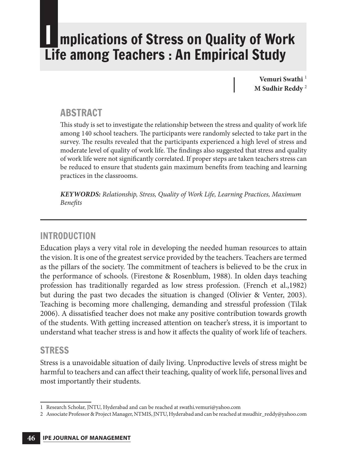# I mplications of stress on Quality of Work Life among Teachers : An Empirical study

**Vemuri Swathi** <sup>1</sup> **M Sudhir Reddy** <sup>2</sup>

#### **ABSTRACT**

This study is set to investigate the relationship between the stress and quality of work life among 140 school teachers. The participants were randomly selected to take part in the survey. The results revealed that the participants experienced a high level of stress and moderate level of quality of work life. The findings also suggested that stress and quality of work life were not significantly correlated. If proper steps are taken teachers stress can be reduced to ensure that students gain maximum benefits from teaching and learning practices in the classrooms.

**KEYWORDS:** Relationship, Stress, Quality of Work Life, Learning Practices, Maximum Benefits

#### INTrODUCTION

Education plays a very vital role in developing the needed human resources to attain the vision. It is one of the greatest service provided by the teachers. Teachers are termed as the pillars of the society. The commitment of teachers is believed to be the crux in the performance of schools. (Firestone & Rosenblum, 1988). In olden days teaching profession has traditionally regarded as low stress profession. (French et al.,1982) but during the past two decades the situation is changed (Olivier & Venter, 2003). Teaching is becoming more challenging, demanding and stressful profession (Tilak 2006). A dissatisfied teacher does not make any positive contribution towards growth of the students. With getting increased attention on teacher's stress, it is important to understand what teacher stress is and how it affects the quality of work life of teachers.

#### **STRESS**

Stress is a unavoidable situation of daily living. Unproductive levels of stress might be harmful to teachers and can affect their teaching, quality of work life, personal lives and most importantly their students.

<sup>1</sup> Research Scholar, JNTU, Hyderabad and can be reached at swathi.vemuri@yahoo.com

<sup>2</sup> Associate Professor & Project Manager, NTMIS, JNTU, Hyderabad and can be reached at msudhir\_reddy@yahoo.com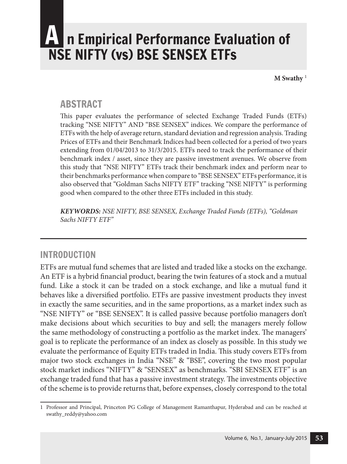# A n Empirical Performance Evaluation of NsE NIFTY (vs) bsE sENsEX ETFs

**M Swathy** <sup>1</sup>

#### **ARSTRACT**

This paper evaluates the performance of selected Exchange Traded Funds (ETFs) tracking "NSE NIFTY" AND "BSE SENSEX" indices. We compare the performance of ETFs with the help of average return, standard deviation and regression analysis. Trading Prices of ETFs and their Benchmark Indices had been collected for a period of two years extending from 01/04/2013 to 31/3/2015. ETFs need to track the performance of their benchmark index / asset, since they are passive investment avenues. We observe from this study that "NSE NIFTY" ETFs track their benchmark index and perform near to their benchmarks performance when compare to "BSE SENSEX" ETFs performance, it is also observed that "Goldman Sachs NIFTY ETF" tracking "NSE NIFTY" is performing good when compared to the other three ETFs included in this study.

**KEYWORDS:** NSE NIFTY, BSE SENSEX, Exchange Traded Funds (ETFs), "Goldman Sachs NIFTY ETF"

#### INTrODUCTION

ETFs are mutual fund schemes that are listed and traded like a stocks on the exchange. An ETF is a hybrid financial product, bearing the twin features of a stock and a mutual fund. Like a stock it can be traded on a stock exchange, and like a mutual fund it behaves like a diversified portfolio. ETFs are passive investment products they invest in exactly the same securities, and in the same proportions, as a market index such as "NSE NIFTY" or "BSE SENSEX". It is called passive because portfolio managers don't make decisions about which securities to buy and sell; the managers merely follow the same methodology of constructing a portfolio as the market index. The managers' goal is to replicate the performance of an index as closely as possible. In this study we evaluate the performance of Equity ETFs traded in India. This study covers ETFs from major two stock exchanges in India "NSE" & "BSE", covering the two most popular stock market indices "NIFTY" & "SENSEX" as benchmarks. "SBI SENSEX ETF" is an exchange traded fund that has a passive investment strategy. The investments objective of the scheme is to provide returns that, before expenses, closely correspond to the total

<sup>1</sup> Professor and Principal, Princeton PG College of Management Ramanthapur, Hyderabad and can be reached at swathy\_reddy@yahoo.com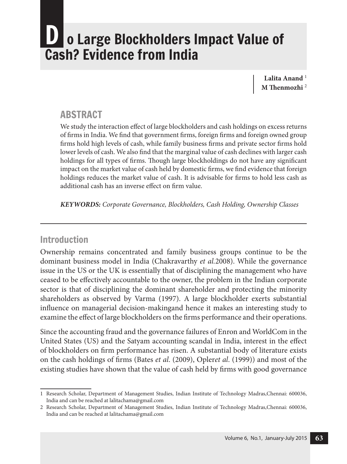# o Large Blockholders Impact Value of Cash? Evidence from India

Lalita Anand<sup>1</sup> **m Thenmozhi** <sup>2</sup>

#### **ABSTRACT**

We study the interaction effect of large blockholders and cash holdings on excess returns of firms in India. We find that government firms, foreign firms and foreign owned group firms hold high levels of cash, while family business firms and private sector firms hold lower levels of cash. We also find that the marginal value of cash declines with larger cash holdings for all types of firms. Though large blockholdings do not have any significant impact on the market value of cash held by domestic firms, we find evidence that foreign holdings reduces the market value of cash. It is advisable for firms to hold less cash as additional cash has an inverse effect on firm value.

**KEYWORDS:** Corporate Governance, Blockholders, Cash Holding, Ownership Classes

#### Introduction

Ownership remains concentrated and family business groups continue to be the dominant business model in India (Chakravarthy et al.2008). While the governance issue in the US or the UK is essentially that of disciplining the management who have ceased to be effectively accountable to the owner, the problem in the Indian corporate sector is that of disciplining the dominant shareholder and protecting the minority shareholders as observed by Varma (1997). A large blockholder exerts substantial influence on managerial decision-makingand hence it makes an interesting study to examine the effect of large blockholders on the firms performance and their operations.

Since the accounting fraud and the governance failures of Enron and WorldCom in the United States (US) and the Satyam accounting scandal in India, interest in the effect of blockholders on firm performance has risen. A substantial body of literature exists on the cash holdings of firms (Bates *et al.* (2009), Opleret al. (1999)) and most of the existing studies have shown that the value of cash held by firms with good governance

<sup>1</sup> Research Scholar, Department of Management Studies, Indian Institute of Technology Madras,Chennai: 600036, India and can be reached at lalitachama@gmail.com

<sup>2</sup> Research Scholar, Department of Management Studies, Indian Institute of Technology Madras,Chennai: 600036, India and can be reached at lalitachama@gmail.com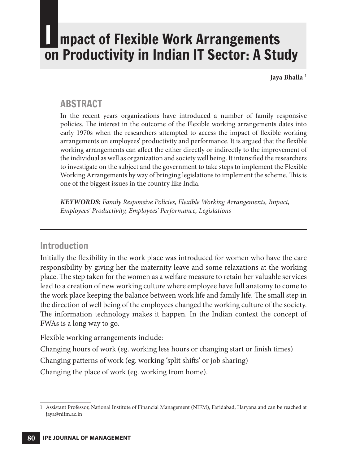# mpact of Flexible Work Arrangements on Productivity in Indian IT sector: A study

Jaya Bhalla<sup>1</sup>

#### **ABSTRACT**

In the recent years organizations have introduced a number of family responsive policies. The interest in the outcome of the Flexible working arrangements dates into early 1970s when the researchers attempted to access the impact of flexible working arrangements on employees' productivity and performance. It is argued that the flexible working arrangements can affect the either directly or indirectly to the improvement of the individual as well as organization and society well being. It intensified the researchers to investigate on the subject and the government to take steps to implement the Flexible Working Arrangements by way of bringing legislations to implement the scheme. This is one of the biggest issues in the country like India.

**KEYWORDS:** Family Responsive Policies, Flexible Working Arrangements, Impact, Employees' Productivity, Employees' Performance, Legislations

#### Introduction

Initially the flexibility in the work place was introduced for women who have the care responsibility by giving her the maternity leave and some relaxations at the working place. The step taken for the women as a welfare measure to retain her valuable services lead to a creation of new working culture where employee have full anatomy to come to the work place keeping the balance between work life and family life. The small step in the direction of well being of the employees changed the working culture of the society. The information technology makes it happen. In the Indian context the concept of FWAs is a long way to go.

Flexible working arrangements include:

Changing hours of work (eg. working less hours or changing start or finish times)

Changing patterns of work (eg. working 'split shifts' or job sharing)

Changing the place of work (eg. working from home).

<sup>1</sup> Assistant Professor, National Institute of Financial Management (NIFM), Faridabad, Haryana and can be reached at jaya@nifm.ac.in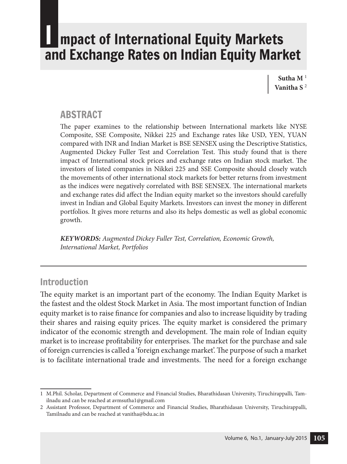### I mpact of International Equity Markets and Exchange Rates on Indian Equity Market

**Sutha M** <sup>1</sup> **Vanitha S** <sup>2</sup>

#### **ABSTRACT**

The paper examines to the relationship between International markets like NYSE Composite, SSE Composite, Nikkei 225 and Exchange rates like USD, YEN, YUAN compared with INR and Indian Market is BSE SENSEX using the Descriptive Statistics, Augmented Dickey Fuller Test and Correlation Test. This study found that is there impact of International stock prices and exchange rates on Indian stock market. The investors of listed companies in Nikkei 225 and SSE Composite should closely watch the movements of other international stock markets for better returns from investment as the indices were negatively correlated with BSE SENSEX. The international markets and exchange rates did affect the Indian equity market so the investors should carefully invest in Indian and Global Equity Markets. Investors can invest the money in different portfolios. It gives more returns and also its helps domestic as well as global economic growth.

**KEYWORDS:** Augmented Dickey Fuller Test, Correlation, Economic Growth, International Market, Portfolios

#### Introduction

The equity market is an important part of the economy. The Indian Equity Market is the fastest and the oldest Stock Market in Asia. The most important function of Indian equity market is to raise finance for companies and also to increase liquidity by trading their shares and raising equity prices. The equity market is considered the primary indicator of the economic strength and development. The main role of Indian equity market is to increase profitability for enterprises. The market for the purchase and sale of foreign currencies is called a 'foreign exchange market'. The purpose of such a market is to facilitate international trade and investments. The need for a foreign exchange

<sup>1</sup> M.Phil. Scholar, Department of Commerce and Financial Studies, Bharathidasan University, Tiruchirappalli, Tamilnadu and can be reached at avmsutha1@gmail.com

<sup>2</sup> Assistant Professor, Department of Commerce and Financial Studies, Bharathidasan University, Tiruchirappalli, Tamilnadu and can be reached at vanitha@bdu.ac.in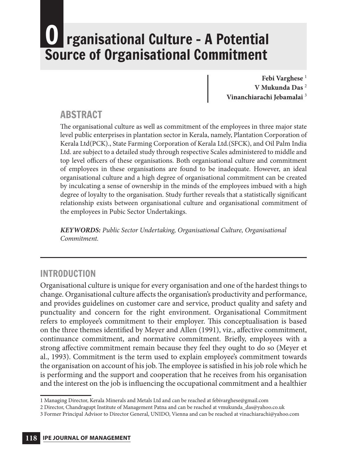# **rganisational Culture - A Potential** source of Organisational Commitment

Febi Varghese<sup>1</sup> **V Mukunda Das** <sup>2</sup> **Vinanchiarachi Jebamalai** <sup>3</sup>

#### **ABSTRACT**

The organisational culture as well as commitment of the employees in three major state level public enterprises in plantation sector in Kerala, namely, Plantation Corporation of Kerala Ltd(PCK)., State Farming Corporation of Kerala Ltd.(SFCK), and Oil Palm India Ltd. are subject to a detailed study through respective Scales administered to middle and top level officers of these organisations. Both organisational culture and commitment of employees in these organisations are found to be inadequate. However, an ideal organisational culture and a high degree of organisational commitment can be created by inculcating a sense of ownership in the minds of the employees imbued with a high degree of loyalty to the organisation. Study further reveals that a statistically significant relationship exists between organisational culture and organisational commitment of the employees in Pubic Sector Undertakings.

**KEYWORDS:** Public Sector Undertaking, Organisational Culture, Organisational Commitment.

#### INTrODUCTION

Organisational culture is unique for every organisation and one of the hardest things to change. Organisational culture affects the organisation's productivity and performance, and provides guidelines on customer care and service, product quality and safety and punctuality and concern for the right environment. Organisational Commitment refers to employee's commitment to their employer. This conceptualisation is based on the three themes identified by Meyer and Allen (1991), viz., affective commitment, continuance commitment, and normative commitment. Briefly, employees with a strong affective commitment remain because they feel they ought to do so (Meyer et al., 1993). Commitment is the term used to explain employee's commitment towards the organisation on account of his job. The employee is satisfied in his job role which he is performing and the support and cooperation that he receives from his organisation and the interest on the job is influencing the occupational commitment and a healthier

<sup>1</sup> Managing Director, Kerala Minerals and Metals Ltd and can be reached at febivarghese@gmail.com

<sup>2</sup> Director, Chandragupt Institute of Management Patna and can be reached at vmukunda\_das@yahoo.co.uk

<sup>3</sup> Former Principal Advisor to Director General, UNIDO, Vienna and can be reached at vinachiarachi@yahoo.com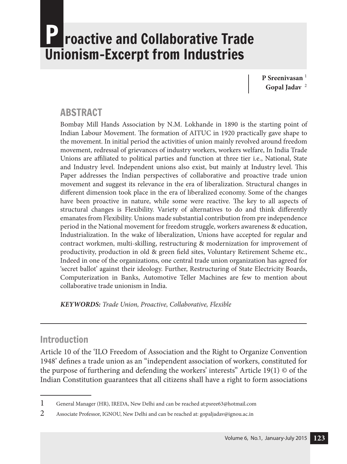# roactive and Collaborative Trade Unionism–Excerpt from Industries

**P Sreenivasan** <sup>1</sup> **Gopal Jadav** <sup>2</sup>

#### **ABSTRACT**

Bombay Mill Hands Association by N.M. Lokhande in 1890 is the starting point of Indian Labour Movement. The formation of AITUC in 1920 practically gave shape to the movement. In initial period the activities of union mainly revolved around freedom movement, redressal of grievances of industry workers, workers welfare, In India Trade Unions are affiliated to political parties and function at three tier i.e., National, State and Industry level. Independent unions also exist, but mainly at Industry level. This Paper addresses the Indian perspectives of collaborative and proactive trade union movement and suggest its relevance in the era of liberalization. Structural changes in different dimension took place in the era of liberalized economy. Some of the changes have been proactive in nature, while some were reactive. The key to all aspects of structural changes is Flexibility. Variety of alternatives to do and think differently emanates from Flexibility. Unions made substantial contribution from pre independence period in the National movement for freedom struggle, workers awareness & education, Industrialization. In the wake of liberalization, Unions have accepted for regular and contract workmen, multi-skilling, restructuring & modernization for improvement of productivity, production in old & green field sites, Voluntary Retirement Scheme etc., Indeed in one of the organizations, one central trade union organization has agreed for 'secret ballot' against their ideology. Further, Restructuring of State Electricity Boards, Computerization in Banks, Automotive Teller Machines are few to mention about collaborative trade unionism in India.

**KEYWORDS:** Trade Union, Proactive, Collaborative, Flexible

#### Introduction

Article 10 of the 'ILO Freedom of Association and the Right to Organize Convention 1948' defines a trade union as an "independent association of workers, constituted for the purpose of furthering and defending the workers' interests" Article 19(1) © of the Indian Constitution guarantees that all citizens shall have a right to form associations

<sup>1</sup> General Manager (HR), IREDA, New Delhi and can be reached at:psree63@hotmail.com

<sup>2</sup> Associate Professor, IGNOU, New Delhi and can be reached at: gopaljadav@ignou.ac.in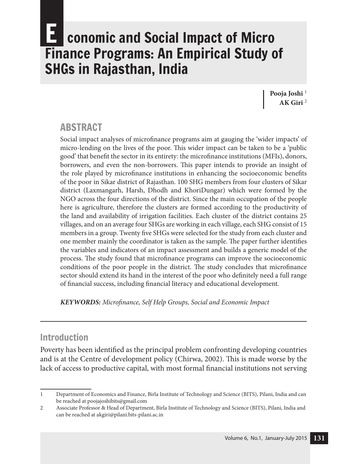# conomic and Social Impact of Micro Finance Programs: An Empirical study of **SHGs in Rajasthan, India**

Pooja Joshi<sup>1</sup> **AK Giri** <sup>2</sup>

#### **ABSTRACT**

Social impact analyses of microfinance programs aim at gauging the 'wider impacts' of micro-lending on the lives of the poor. This wider impact can be taken to be a 'public good' that benefit the sector in its entirety: the microfinance institutions (MFIs), donors, borrowers, and even the non-borrowers. This paper intends to provide an insight of the role played by microfinance institutions in enhancing the socioeconomic benefits of the poor in Sikar district of Rajasthan. 100 SHG members from four clusters of Sikar district (Laxmangarh, Harsh, Dhodh and KhoriDungar) which were formed by the NGO across the four directions of the district. Since the main occupation of the people here is agriculture, therefore the clusters are formed according to the productivity of the land and availability of irrigation facilities. Each cluster of the district contains 25 villages, and on an average four SHGs are working in each village, each SHG consist of 15 members in a group. Twenty five SHGs were selected for the study from each cluster and one member mainly the coordinator is taken as the sample. The paper further identifies the variables and indicators of an impact assessment and builds a generic model of the process. The study found that microfinance programs can improve the socioeconomic conditions of the poor people in the district. The study concludes that microfinance sector should extend its hand in the interest of the poor who definitely need a full range of financial success, including financial literacy and educational development.

**KEYWORDS:** Microfinance, Self Help Groups, Social and Economic Impact

#### Introduction

Poverty has been identified as the principal problem confronting developing countries and is at the Centre of development policy (Chirwa, 2002). This is made worse by the lack of access to productive capital, with most formal financial institutions not serving

<sup>1</sup> Department of Economics and Finance, Birla Institute of Technology and Science (BITS), Pilani, India and can be reached at poojajoshibits@gmail.com

<sup>2</sup> Associate Professor & Head of Department, Birla Institute of Technology and Science (BITS), Pilani, India and can be reached at akgiri@pilani.bits-pilani.ac.in